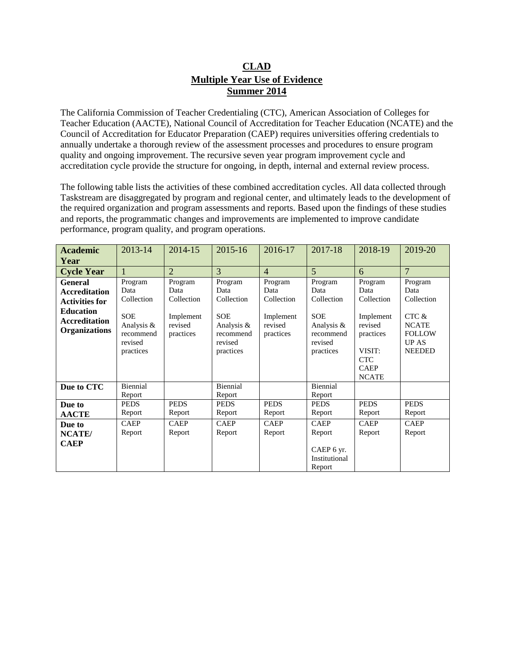## **CLAD Multiple Year Use of Evidence Summer 2014**

The California Commission of Teacher Credentialing (CTC), American Association of Colleges for Teacher Education (AACTE), National Council of Accreditation for Teacher Education (NCATE) and the Council of Accreditation for Educator Preparation (CAEP) requires universities offering credentials to annually undertake a thorough review of the assessment processes and procedures to ensure program quality and ongoing improvement. The recursive seven year program improvement cycle and accreditation cycle provide the structure for ongoing, in depth, internal and external review process.

The following table lists the activities of these combined accreditation cycles. All data collected through Taskstream are disaggregated by program and regional center, and ultimately leads to the development of the required organization and program assessments and reports. Based upon the findings of these studies and reports, the programmatic changes and improvements are implemented to improve candidate performance, program quality, and program operations.

| <b>Academic</b><br>Year                                                                                                      | 2013-14                                                                                        | 2014-15                                                            | 2015-16                                                                                        | 2016-17                                                            | 2017-18                                                                                        | 2018-19                                                                                                                   | 2019-20                                                                                                  |
|------------------------------------------------------------------------------------------------------------------------------|------------------------------------------------------------------------------------------------|--------------------------------------------------------------------|------------------------------------------------------------------------------------------------|--------------------------------------------------------------------|------------------------------------------------------------------------------------------------|---------------------------------------------------------------------------------------------------------------------------|----------------------------------------------------------------------------------------------------------|
| <b>Cycle Year</b>                                                                                                            |                                                                                                | $\overline{2}$                                                     | 3                                                                                              | $\overline{4}$                                                     | $\overline{5}$                                                                                 | 6                                                                                                                         | $\overline{7}$                                                                                           |
| General<br><b>Accreditation</b><br><b>Activities for</b><br><b>Education</b><br><b>Accreditation</b><br><b>Organizations</b> | Program<br>Data<br>Collection<br><b>SOE</b><br>Analysis &<br>recommend<br>revised<br>practices | Program<br>Data<br>Collection<br>Implement<br>revised<br>practices | Program<br>Data<br>Collection<br><b>SOE</b><br>Analysis &<br>recommend<br>revised<br>practices | Program<br>Data<br>Collection<br>Implement<br>revised<br>practices | Program<br>Data<br>Collection<br><b>SOE</b><br>Analysis &<br>recommend<br>revised<br>practices | Program<br>Data<br>Collection<br>Implement<br>revised<br>practices<br>VISIT:<br><b>CTC</b><br><b>CAEP</b><br><b>NCATE</b> | Program<br>Data<br>Collection<br>CTC &<br><b>NCATE</b><br><b>FOLLOW</b><br><b>UP AS</b><br><b>NEEDED</b> |
| Due to CTC                                                                                                                   | Biennial<br>Report                                                                             |                                                                    | Biennial<br>Report                                                                             |                                                                    | Biennial<br>Report                                                                             |                                                                                                                           |                                                                                                          |
| Due to<br><b>AACTE</b>                                                                                                       | <b>PEDS</b><br>Report                                                                          | <b>PEDS</b><br>Report                                              | <b>PEDS</b><br>Report                                                                          | <b>PEDS</b><br>Report                                              | <b>PEDS</b><br>Report                                                                          | <b>PEDS</b><br>Report                                                                                                     | <b>PEDS</b><br>Report                                                                                    |
| Due to<br><b>NCATE</b> /<br><b>CAEP</b>                                                                                      | <b>CAEP</b><br>Report                                                                          | <b>CAEP</b><br>Report                                              | <b>CAEP</b><br>Report                                                                          | <b>CAEP</b><br>Report                                              | <b>CAEP</b><br>Report<br>CAEP 6 yr.<br>Institutional<br>Report                                 | <b>CAEP</b><br>Report                                                                                                     | <b>CAEP</b><br>Report                                                                                    |